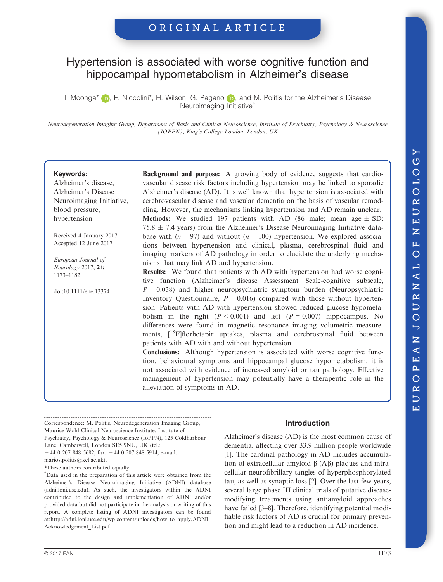# Hypertension is associated with worse cognitive function and hippocampal hypometabolism in Alzheimer's disease

I. Moonga<sup>[\\*](http://orcid.org/0000-0001-9176-9146)</sup> **D.** F. Niccolini<sup>\*</sup>, H. Wilson, G. Pagano **D.** and M. Politis for the Alzheimer's Disease Neuroimaging Initiative†

Neurodegeneration Imaging Group, Department of Basic and Clinical Neuroscience, Institute of Psychiatry, Psychology & Neuroscience (IOPPN), King's College London, London, UK

#### Keywords:

Alzheimer's disease, Alzheimer's Disease Neuroimaging Initiative, blood pressure, hypertension

Received 4 January 2017 Accepted 12 June 2017

European Journal of Neurology 2017, 24: 1173–1182

doi:10.1111/ene.13374

Background and purpose: A growing body of evidence suggests that cardiovascular disease risk factors including hypertension may be linked to sporadic Alzheimer's disease (AD). It is well known that hypertension is associated with cerebrovascular disease and vascular dementia on the basis of vascular remodeling. However, the mechanisms linking hypertension and AD remain unclear. **Methods:** We studied 197 patients with AD (86 male; mean age  $\pm$  SD: 75.8  $\pm$  7.4 years) from the Alzheimer's Disease Neuroimaging Initiative database with  $(n = 97)$  and without  $(n = 100)$  hypertension. We explored associations between hypertension and clinical, plasma, cerebrospinal fluid and imaging markers of AD pathology in order to elucidate the underlying mechanisms that may link AD and hypertension.

Results: We found that patients with AD with hypertension had worse cognitive function (Alzheimer's disease Assessment Scale-cognitive subscale,  $P = 0.038$ ) and higher neuropsychiatric symptom burden (Neuropsychiatric Inventory Questionnaire,  $P = 0.016$ ) compared with those without hypertension. Patients with AD with hypertension showed reduced glucose hypometabolism in the right  $(P < 0.001)$  and left  $(P = 0.007)$  hippocampus. No differences were found in magnetic resonance imaging volumetric measurements,  $[18F]$ florbetapir uptakes, plasma and cerebrospinal fluid between patients with AD with and without hypertension.

Conclusions: Although hypertension is associated with worse cognitive function, behavioural symptoms and hippocampal glucose hypometabolism, it is not associated with evidence of increased amyloid or tau pathology. Effective management of hypertension may potentially have a therapeutic role in the alleviation of symptoms in AD.

Correspondence: M. Politis, Neurodegeneration Imaging Group, Maurice Wohl Clinical Neuroscience Institute, Institute of

+44 0 207 848 5682; fax: +44 0 207 848 5914; e-mail:

marios.politis@kcl.ac.uk).

\*These authors contributed equally.

† Data used in the preparation of this article were obtained from the Alzheimer's Disease Neuroimaging Initiative (ADNI) database (adni.loni.usc.edu). As such, the investigators within the ADNI contributed to the design and implementation of ADNI and/or provided data but did not participate in the analysis or writing of this report. A complete listing of ADNI investigators can be found at:[http://adni.loni.usc.edu/wp-content/uploads/how\\_to\\_apply/ADNI\\_](http://adni.loni.usc.edu/wp-content/uploads/how_to_apply/ADNI_Acknowledgement_List.pdf) [Acknowledgement\\_List.pdf](http://adni.loni.usc.edu/wp-content/uploads/how_to_apply/ADNI_Acknowledgement_List.pdf)

# Introduction

Alzheimer's disease (AD) is the most common cause of dementia, affecting over 33.9 million people worldwide [1]. The cardinal pathology in AD includes accumulation of extracellular amyloid- $\beta$  (A $\beta$ ) plaques and intracellular neurofibrillary tangles of hyperphosphorylated tau, as well as synaptic loss [2]. Over the last few years, several large phase III clinical trials of putative diseasemodifying treatments using antiamyloid approaches have failed [3–8]. Therefore, identifying potential modifiable risk factors of AD is crucial for primary prevention and might lead to a reduction in AD incidence.

Psychiatry, Psychology & Neuroscience (IoPPN), 125 Coldharbour Lane, Camberwell, London SE5 9NU, UK (tel.: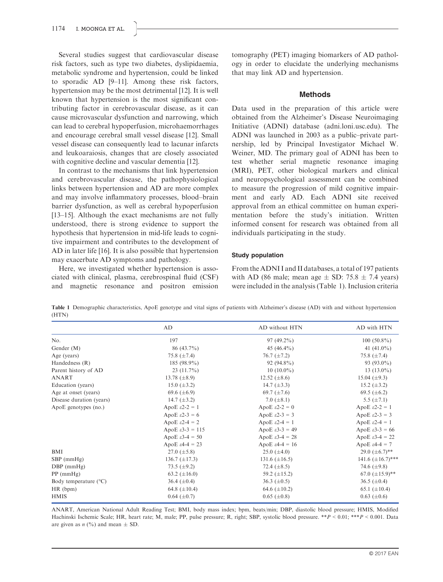Several studies suggest that cardiovascular disease risk factors, such as type two diabetes, dyslipidaemia, metabolic syndrome and hypertension, could be linked to sporadic AD [9–11]. Among these risk factors, hypertension may be the most detrimental [12]. It is well known that hypertension is the most significant contributing factor in cerebrovascular disease, as it can cause microvascular dysfunction and narrowing, which can lead to cerebral hypoperfusion, microhaemorrhages and encourage cerebral small vessel disease [12]. Small vessel disease can consequently lead to lacunar infarcts and leukoaraiosis, changes that are closely associated with cognitive decline and vascular dementia [12].

In contrast to the mechanisms that link hypertension and cerebrovascular disease, the pathophysiological links between hypertension and AD are more complex and may involve inflammatory processes, blood–brain barrier dysfunction, as well as cerebral hypoperfusion [13–15]. Although the exact mechanisms are not fully understood, there is strong evidence to support the hypothesis that hypertension in mid-life leads to cognitive impairment and contributes to the development of AD in later life [16]. It is also possible that hypertension may exacerbate AD symptoms and pathology.

Here, we investigated whether hypertension is associated with clinical, plasma, cerebrospinal fluid (CSF) and magnetic resonance and positron emission tomography (PET) imaging biomarkers of AD pathology in order to elucidate the underlying mechanisms that may link AD and hypertension.

#### Methods

Data used in the preparation of this article were obtained from the Alzheimer's Disease Neuroimaging Initiative (ADNI) database (adni.loni.usc.edu). The ADNI was launched in 2003 as a public–private partnership, led by Principal Investigator Michael W. Weiner, MD. The primary goal of ADNI has been to test whether serial magnetic resonance imaging (MRI), PET, other biological markers and clinical and neuropsychological assessment can be combined to measure the progression of mild cognitive impairment and early AD. Each ADNI site received approval from an ethical committee on human experimentation before the study's initiation. Written informed consent for research was obtained from all individuals participating in the study.

#### Study population

From the ADNI I and II databases, a total of 197 patients with AD (86 male; mean age  $\pm$  SD: 75.8  $\pm$  7.4 years) were included in the analysis (Table 1). Inclusion criteria

Table 1 Demographic characteristics, ApoE genotype and vital signs of patients with Alzheimer's disease (AD) with and without hypertension (HTN)

|                                | AD                          | AD without HTN              | AD with HTN                |
|--------------------------------|-----------------------------|-----------------------------|----------------------------|
| No.                            | 197                         | $97(49.2\%)$                | $100(50.8\%)$              |
| Gender (M)                     | $86(43.7\%)$                | 45 $(46.4\%)$               | 41 $(41.0\%)$              |
| Age (years)                    | 75.8 $(\pm 7.4)$            | 76.7 $(\pm 7.2)$            | 75.8 $(\pm 7.4)$           |
| Handedness (R)                 | 185 (98.9%)                 | $92(94.8\%)$                | 93 $(93.0\%)$              |
| Parent history of AD           | $23(11.7\%)$                | $10(10.0\%)$                | 13 $(13.0\%)$              |
| ANART                          | 13.78 $(\pm 8.9)$           | 12.52 $(\pm 8.6)$           | 15.04 $(\pm 9.3)$          |
| Education (years)              | 15.0 $(\pm 3.2)$            | 14.7 $(\pm 3.3)$            | 15.2 $(\pm 3.2)$           |
| Age at onset (years)           | 69.6 $(\pm 6.9)$            | 69.7 $(\pm 7.6)$            | 69.5 $(\pm 6.2)$           |
| Disease duration (years)       | 14.7 $(\pm 3.2)$            | 7.0 $(\pm 8.1)$             | 5.5 $(\pm 7.1)$            |
| ApoE genotypes (no.)           | ApoE $\epsilon$ 2-2 = 1     | ApoE $\epsilon$ 2-2 = 0     | ApoE $\epsilon$ 2-2 = 1    |
|                                | ApoE $\epsilon$ 2-3 = 6     | ApoE $\epsilon$ 2-3 = 3     | ApoE $\epsilon$ 2-3 = 3    |
|                                | ApoE $\epsilon$ 2-4 = 2     | ApoE $\epsilon$ 2-4 = 1     | ApoE $\epsilon$ 2-4 = 1    |
|                                | ApoE $\epsilon$ 3-3 = 115   | ApoE $\epsilon$ 3-3 = 49    | ApoE $\epsilon$ 3-3 = 66   |
|                                | ApoE $\epsilon$ 3-4 = 50    | ApoE $\epsilon$ 3-4 = 28    | ApoE $\epsilon$ 3-4 = 22   |
|                                | ApoE $\varepsilon$ 4-4 = 23 | ApoE $\varepsilon$ 4-4 = 16 | ApoE $\varepsilon$ 4-4 = 7 |
| BMI                            | 27.0 $(\pm 5.8)$            | $25.0~(\pm 4.0)$            | 29.0 $(\pm 6.7)$ **        |
| $SBP$ (mmHg)                   | 136.7 $(\pm 17.3)$          | 131.6 $(\pm 16.5)$          | 141.6 $(\pm 16.7)$ ***     |
| $DBP$ (mmHg)                   | 73.5 $(\pm 9.2)$            | 72.4 $(\pm 8.5)$            | 74.6 $(\pm 9.8)$           |
| $PP$ (mmHg)                    | 63.2 $(\pm 16.0)$           | 59.2 $(\pm 15.2)$           | 67.0 $(\pm 15.9)$ **       |
| Body temperature $(^{\circ}C)$ | 36.4 $(\pm 0.4)$            | 36.3 $(\pm 0.5)$            | 36.5 $(\pm 0.4)$           |
| HR (bpm)                       | 64.8 $(\pm 10.4)$           | 64.6 $(\pm 10.2)$           | 65.1 $(\pm 10.4)$          |
| <b>HMIS</b>                    | $0.64~(\pm 0.7)$            | $0.65 \ (\pm 0.8)$          | $0.63~(\pm 0.6)$           |

ANART, American National Adult Reading Test; BMI, body mass index; bpm, beats/min; DBP, diastolic blood pressure; HMIS, Modified Hachinski Ischemic Scale; HR, heart rate; M, male; PP, pulse pressure; R, right; SBP, systolic blood pressure. \*\*P < 0.01; \*\*\*P < 0.001. Data are given as  $n$  (%) and mean  $\pm$  SD.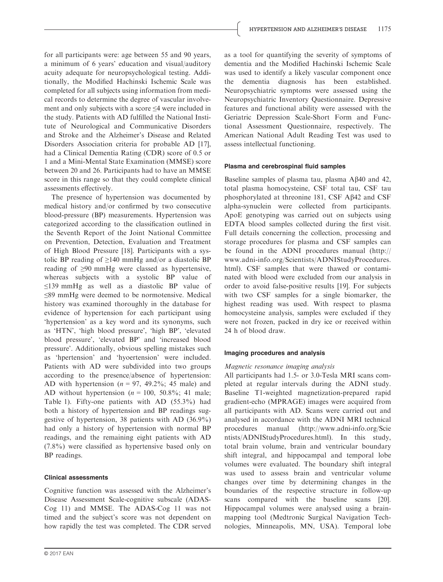for all participants were: age between 55 and 90 years, a minimum of 6 years' education and visual/auditory acuity adequate for neuropsychological testing. Additionally, the Modified Hachinski Ischemic Scale was completed for all subjects using information from medical records to determine the degree of vascular involvement and only subjects with a score ≤4 were included in the study. Patients with AD fulfilled the National Institute of Neurological and Communicative Disorders and Stroke and the Alzheimer's Disease and Related Disorders Association criteria for probable AD [17], had a Clinical Dementia Rating (CDR) score of 0.5 or 1 and a Mini-Mental State Examination (MMSE) score between 20 and 26. Participants had to have an MMSE score in this range so that they could complete clinical assessments effectively.

The presence of hypertension was documented by medical history and/or confirmed by two consecutive blood-pressure (BP) measurements. Hypertension was categorized according to the classification outlined in the Seventh Report of the Joint National Committee on Prevention, Detection, Evaluation and Treatment of High Blood Pressure [18]. Participants with a systolic BP reading of  $\geq$ 140 mmHg and/or a diastolic BP reading of ≥90 mmHg were classed as hypertensive, whereas subjects with a systolic BP value of ≤139 mmHg as well as a diastolic BP value of ≤89 mmHg were deemed to be normotensive. Medical history was examined thoroughly in the database for evidence of hypertension for each participant using 'hypertension' as a key word and its synonyms, such as 'HTN', 'high blood pressure', 'high BP', 'elevated blood pressure', 'elevated BP' and 'increased blood pressure'. Additionally, obvious spelling mistakes such as 'hpertension' and 'hyoertension' were included. Patients with AD were subdivided into two groups according to the presence/absence of hypertension: AD with hypertension ( $n = 97, 49.2\%$ ; 45 male) and AD without hypertension  $(n = 100, 50.8\%; 41$  male; Table 1). Fifty-one patients with AD (55.3%) had both a history of hypertension and BP readings suggestive of hypertension, 38 patients with AD (36.9%) had only a history of hypertension with normal BP readings, and the remaining eight patients with AD (7.8%) were classified as hypertensive based only on BP readings.

### Clinical assessments

Cognitive function was assessed with the Alzheimer's Disease Assessment Scale-cognitive subscale (ADAS-Cog 11) and MMSE. The ADAS-Cog 11 was not timed and the subject's score was not dependent on how rapidly the test was completed. The CDR served

as a tool for quantifying the severity of symptoms of dementia and the Modified Hachinski Ischemic Scale was used to identify a likely vascular component once the dementia diagnosis has been established. Neuropsychiatric symptoms were assessed using the Neuropsychiatric Inventory Questionnaire. Depressive features and functional ability were assessed with the Geriatric Depression Scale-Short Form and Functional Assessment Questionnaire, respectively. The American National Adult Reading Test was used to assess intellectual functioning.

#### Plasma and cerebrospinal fluid samples

Baseline samples of plasma tau, plasma AB40 and 42, total plasma homocysteine, CSF total tau, CSF tau phosphorylated at threonine 181, CSF Aß42 and CSF alpha-synuclein were collected from participants. ApoE genotyping was carried out on subjects using EDTA blood samples collected during the first visit. Full details concerning the collection, processing and storage procedures for plasma and CSF samples can be found in the ADNI procedures manual [\(http://](http://www.adni-info.org/Scientists/ADNIStudyProcedures.html) [www.adni-info.org/Scientists/ADNIStudyProcedures.](http://www.adni-info.org/Scientists/ADNIStudyProcedures.html) [html](http://www.adni-info.org/Scientists/ADNIStudyProcedures.html)). CSF samples that were thawed or contaminated with blood were excluded from our analysis in order to avoid false-positive results [19]. For subjects with two CSF samples for a single biomarker, the highest reading was used. With respect to plasma homocysteine analysis, samples were excluded if they were not frozen, packed in dry ice or received within 24 h of blood draw.

### Imaging procedures and analysis

### Magnetic resonance imaging analysis

All participants had 1.5- or 3.0-Tesla MRI scans completed at regular intervals during the ADNI study. Baseline T1-weighted magnetization-prepared rapid gradient-echo (MPRAGE) images were acquired from all participants with AD. Scans were carried out and analysed in accordance with the ADNI MRI technical procedures manual ([http://www.adni-info.org/Scie](http://www.adni-info.org/Scientists/ADNIStudyProcedures.html) [ntists/ADNIStudyProcedures.html](http://www.adni-info.org/Scientists/ADNIStudyProcedures.html)). In this study, total brain volume, brain and ventricular boundary shift integral, and hippocampal and temporal lobe volumes were evaluated. The boundary shift integral was used to assess brain and ventricular volume changes over time by determining changes in the boundaries of the respective structure in follow-up scans compared with the baseline scans [20]. Hippocampal volumes were analysed using a brainmapping tool (Medtronic Surgical Navigation Technologies, Minneapolis, MN, USA). Temporal lobe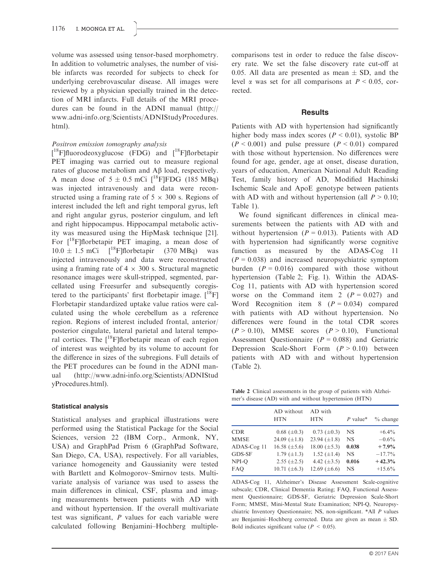volume was assessed using tensor-based morphometry. In addition to volumetric analyses, the number of visible infarcts was recorded for subjects to check for underlying cerebrovascular disease. All images were reviewed by a physician specially trained in the detection of MRI infarcts. Full details of the MRI procedures can be found in the ADNI manual [\(http://](http://www.adni-info.org/Scientists/ADNIStudyProcedures.html) [www.adni-info.org/Scientists/ADNIStudyProcedures.](http://www.adni-info.org/Scientists/ADNIStudyProcedures.html) [html](http://www.adni-info.org/Scientists/ADNIStudyProcedures.html)).

#### Positron emission tomography analysis

 $[$ <sup>18</sup>F]fluorodeoxyglucose (FDG) and  $[$ <sup>18</sup>F]florbetapir PET imaging was carried out to measure regional rates of glucose metabolism and Ab load, respectively. A mean dose of  $5 \pm 0.5$  mCi  $\left[ {}^{18}F\right]FDG$  (185 MBq) was injected intravenously and data were reconstructed using a framing rate of  $5 \times 300$  s. Regions of interest included the left and right temporal gyrus, left and right angular gyrus, posterior cingulum, and left and right hippocampus. Hippocampal metabolic activity was measured using the HipMask technique [21]. For  $[{}^{18}F]$ florbetapir PET imaging, a mean dose of  $10.0 \pm 1.5$  mCi  $[^{18}F]$ florbetapir (370 MBq) was injected intravenously and data were reconstructed using a framing rate of  $4 \times 300$  s. Structural magnetic resonance images were skull-stripped, segmented, parcellated using Freesurfer and subsequently coregistered to the participants' first florbetapir image.  $[$ <sup>18</sup>F] Florbetapir standardized uptake value ratios were calculated using the whole cerebellum as a reference region. Regions of interest included frontal, anterior/ posterior cingulate, lateral parietal and lateral temporal cortices. The  $[{}^{18}F]$ florbetapir mean of each region of interest was weighted by its volume to account for the difference in sizes of the subregions. Full details of the PET procedures can be found in the ADNI manual ([http://www.adni-info.org/Scientists/ADNIStud](http://www.adni-info.org/Scientists/ADNIStudyProcedures.html) [yProcedures.html](http://www.adni-info.org/Scientists/ADNIStudyProcedures.html)).

#### Statistical analysis

Statistical analyses and graphical illustrations were performed using the Statistical Package for the Social Sciences, version 22 (IBM Corp., Armonk, NY, USA) and GraphPad Prism 6 (GraphPad Software, San Diego, CA, USA), respectively. For all variables, variance homogeneity and Gaussianity were tested with Bartlett and Kolmogorov–Smirnov tests. Multivariate analysis of variance was used to assess the main differences in clinical, CSF, plasma and imaging measurements between patients with AD with and without hypertension. If the overall multivariate test was significant, P values for each variable were calculated following Benjamini–Hochberg multiplecomparisons test in order to reduce the false discovery rate. We set the false discovery rate cut-off at 0.05. All data are presented as mean  $\pm$  SD, and the level  $\alpha$  was set for all comparisons at  $P < 0.05$ , corrected.

### **Results**

Patients with AD with hypertension had significantly higher body mass index scores ( $P \le 0.01$ ), systolic BP  $(P < 0.001)$  and pulse pressure  $(P < 0.01)$  compared with those without hypertension. No differences were found for age, gender, age at onset, disease duration, years of education, American National Adult Reading Test, family history of AD, Modified Hachinski Ischemic Scale and ApoE genotype between patients with AD with and without hypertension (all  $P > 0.10$ ; Table 1).

We found significant differences in clinical measurements between the patients with AD with and without hypertension ( $P = 0.013$ ). Patients with AD with hypertension had significantly worse cognitive function as measured by the ADAS-Cog 11  $(P = 0.038)$  and increased neuropsychiatric symptom burden  $(P = 0.016)$  compared with those without hypertension (Table 2; Fig. 1). Within the ADAS-Cog 11, patients with AD with hypertension scored worse on the Command item 2 ( $P = 0.027$ ) and Word Recognition item 8  $(P = 0.034)$  compared with patients with AD without hypertension. No differences were found in the total CDR scores  $(P > 0.10)$ , MMSE scores  $(P > 0.10)$ , Functional Assessment Questionnaire ( $P = 0.088$ ) and Geriatric Depression Scale-Short Form  $(P > 0.10)$  between patients with AD with and without hypertension (Table 2).

Table 2 Clinical assessments in the group of patients with Alzheimer's disease (AD) with and without hypertension (HTN)

|             | AD without<br><b>HTN</b> | AD with<br><b>HTN</b> | $P$ value* | $%$ change |
|-------------|--------------------------|-----------------------|------------|------------|
| <b>CDR</b>  | $0.68~(\pm 0.3)$         | $0.73~(\pm 0.3)$      | NS         | $+6.4\%$   |
| <b>MMSE</b> | 24.09 $(\pm 1.8)$        | 23.94 $(\pm 1.8)$     | <b>NS</b>  | $-0.6\%$   |
| ADAS-Cog 11 | 16.58 $(\pm 5.6)$        | $18.00 \ (\pm 5.3)$   | 0.038      | $+7.9%$    |
| GDS-SF      | $1.79 \ (\pm 1.3)$       | $1.52 \ (\pm 1.4)$    | <b>NS</b>  | $-17.7\%$  |
| NPI-O       | $2.55 \ (\pm 2.5)$       | 4.42 $(\pm 3.5)$      | 0.016      | $+42.3%$   |
| <b>FAO</b>  | 10.71 $(\pm 6.3)$        | 12.69 $(\pm 6.6)$     | NS         | $+15.6\%$  |

ADAS-Cog 11, Alzheimer's Disease Assessment Scale-cognitive subscale; CDR, Clinical Dementia Rating; FAQ, Functional Assessment Questionnaire; GDS-SF, Geriatric Depression Scale-Short Form; MMSE, Mini-Mental State Examination; NPI-Q, Neuropsychiatric Inventory Questionnaire; NS, non-significant. \*All P values are Benjamini–Hochberg corrected. Data are given as mean  $\pm$  SD. Bold indicates significant value ( $P < 0.05$ ).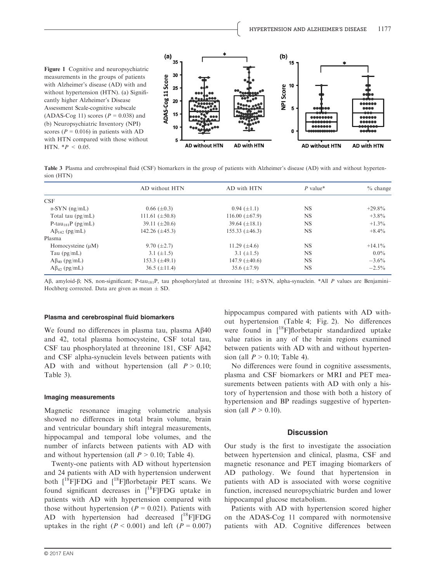

Table 3 Plasma and cerebrospinal fluid (CSF) biomarkers in the group of patients with Alzheimer's disease (AD) with and without hypertension (HTN)

|                                | AD without HTN      | AD with HTN          | $P$ value* | $%$ change |
|--------------------------------|---------------------|----------------------|------------|------------|
| CSE                            |                     |                      |            |            |
| $\alpha$ -SYN (ng/mL)          | $0.66 (\pm 0.3)$    | $0.94~(\pm 1.1)$     | <b>NS</b>  | $+29.8\%$  |
| Total tau $(pg/mL)$            | 111.61 $(\pm 50.8)$ | 116.00 $(\pm 67.9)$  | <b>NS</b>  | $+3.8\%$   |
| P-tau <sub>181</sub> P (pg/mL) | 39.11 $(\pm 20.6)$  | $39.64 \ (\pm 18.1)$ | <b>NS</b>  | $+1.3\%$   |
| $A\beta_{142}$ (pg/mL)         | 142.26 $(\pm 45.3)$ | 155.33 $(\pm 46.3)$  | <b>NS</b>  | $+8.4\%$   |
| Plasma                         |                     |                      |            |            |
| Homocysteine $(\mu M)$         | 9.70 $(\pm 2.7)$    | 11.29 $(\pm 4.6)$    | <b>NS</b>  | $+14.1\%$  |
| Tau $(pg/mL)$                  | 3.1 $(\pm 1.5)$     | 3.1 $(\pm 1.5)$      | <b>NS</b>  | $0.0\%$    |
| $A\beta_{40}$ (pg/mL)          | 153.3 $(\pm 49.1)$  | 147.9 $(\pm 40.6)$   | <b>NS</b>  | $-3.6\%$   |
| $A\beta_{42}$ (pg/mL)          | $36.5 (\pm 11.4)$   | 35.6 $(\pm 7.9)$     | <b>NS</b>  | $-2.5\%$   |

A $\beta$ , amyloid- $\beta$ ; NS, non-significant; P-tau<sub>181</sub>P, tau phosphorylated at threonine 181;  $\alpha$ -SYN, alpha-synuclein. \*All P values are Benjamini– Hochberg corrected. Data are given as mean  $\pm$  SD.

#### Plasma and cerebrospinal fluid biomarkers

We found no differences in plasma tau, plasma  $A\beta40$ and 42, total plasma homocysteine, CSF total tau, CSF tau phosphorylated at threonine 181, CSF A $\beta$ 42 and CSF alpha-synuclein levels between patients with AD with and without hypertension (all  $P > 0.10$ ; Table 3).

#### Imaging measurements

Magnetic resonance imaging volumetric analysis showed no differences in total brain volume, brain and ventricular boundary shift integral measurements, hippocampal and temporal lobe volumes, and the number of infarcts between patients with AD with and without hypertension (all  $P > 0.10$ ; Table 4).

Twenty-one patients with AD without hypertension and 24 patients with AD with hypertension underwent both  $[{}^{18}F]FDG$  and  $[{}^{18}F]f$  and  $F$ <sup>18</sup>F]florbetapir PET scans. We found significant decreases in  $[{}^{18}F]FDG$  uptake in patients with AD with hypertension compared with those without hypertension ( $P = 0.021$ ). Patients with AD with hypertension had decreased  $[$ <sup>18</sup>F]FDG uptakes in the right  $(P < 0.001)$  and left  $(P = 0.007)$  hippocampus compared with patients with AD without hypertension (Table 4; Fig. 2). No differences were found in  $[$ <sup>18</sup>F]florbetapir standardized uptake value ratios in any of the brain regions examined between patients with AD with and without hypertension (all  $P > 0.10$ ; Table 4).

No differences were found in cognitive assessments, plasma and CSF biomarkers or MRI and PET measurements between patients with AD with only a history of hypertension and those with both a history of hypertension and BP readings suggestive of hypertension (all  $P > 0.10$ ).

#### **Discussion**

Our study is the first to investigate the association between hypertension and clinical, plasma, CSF and magnetic resonance and PET imaging biomarkers of AD pathology. We found that hypertension in patients with AD is associated with worse cognitive function, increased neuropsychiatric burden and lower hippocampal glucose metabolism.

Patients with AD with hypertension scored higher on the ADAS-Cog 11 compared with normotensive patients with AD. Cognitive differences between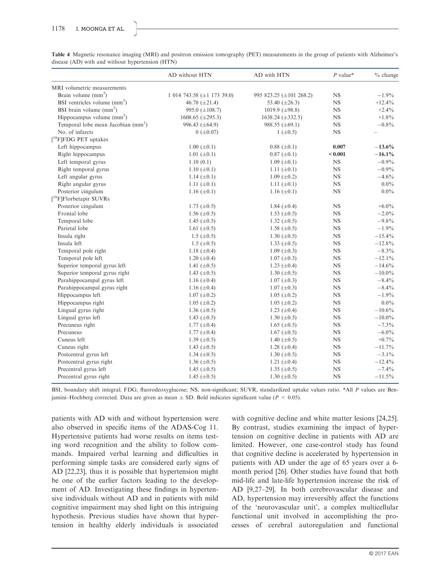|                                                | AD without HTN                      | AD with HTN                   | $P$ value*  | $%$ change |
|------------------------------------------------|-------------------------------------|-------------------------------|-------------|------------|
| MRI volumetric measurements                    |                                     |                               |             |            |
| Brain volume $(mm^3)$                          | 1 014 743.58 $(\pm 1 \ 173 \ 39.0)$ | 995 823.25 ( $\pm$ 101 268.2) | <b>NS</b>   | $-1.9%$    |
| BSI ventricles volume (mm <sup>3</sup> )       | 46.78 $(\pm 21.4)$                  | 53.40 $(\pm 26.3)$            | <b>NS</b>   | $+12.4%$   |
| BSI brain volume $\text{(mm)}^3$ )             | 995.0 $(\pm 108.7)$                 | 1019.9 $(\pm 98.8)$           | <b>NS</b>   | $+2.4%$    |
| Hippocampus volume $(mm3)$                     | 1608.65 $(\pm 295.3)$               | $1638.24 \ (\pm 332.5)$       | <b>NS</b>   | $+1.8\%$   |
| Temporal lobe mean Jacobian (mm <sup>3</sup> ) | 996.43 $(\pm 64.9)$                 | 988.55 $(\pm 69.1)$           | $_{NS}$     | $-0.8\%$   |
| No. of infarcts                                | $0 (+0.07)$                         | $1 (\pm 0.5)$                 | <b>NS</b>   |            |
| $[$ <sup>18</sup> F]FDG PET uptakes            |                                     |                               |             |            |
| Left hippocampus                               | $1.00 (\pm 0.1)$                    | $0.88 (\pm 0.1)$              | 0.007       | $-13.6%$   |
| Right hippocampus                              | 1.01 $(\pm 0.1)$                    | $0.87 (\pm 0.1)$              | < 0.001     | $-16.1%$   |
| Left temporal gyrus                            | 1.10(0.1)                           | $1.09 \ (\pm 0.1)$            | <b>NS</b>   | $-0.9\%$   |
| Right temporal gyrus                           | $1.10 \ (\pm 0.1)$                  | 1.11 $(\pm 0.1)$              | <b>NS</b>   | $-0.9\%$   |
| Left angular gyrus                             | 1.14 $(\pm 0.1)$                    | $1.09 \ (\pm 0.2)$            | $_{\rm NS}$ | $-4.6\%$   |
| Right angular gyrus                            | 1.11 $(\pm 0.1)$                    | 1.11 $(\pm 0.1)$              | $_{\rm NS}$ | $0.0\%$    |
| Posterior cingulum                             | 1.16 $(\pm 0.1)$                    | 1.16 $(\pm 0.1)$              | <b>NS</b>   | $0.0\%$    |
| $[$ <sup>18</sup> F]Florbetapir SUVRs          |                                     |                               |             |            |
| Posterior cingulum                             | 1.73 $(\pm 0.5)$                    | 1.84 $(\pm 0.4)$              | <b>NS</b>   | $+6.0\%$   |
| Frontal lobe                                   | 1.56 $(\pm 0.5)$                    | 1.53 $(\pm 0.5)$              | $_{\rm NS}$ | $-2.0\%$   |
| Temporal lobe                                  | 1.45 $(\pm 0.5)$                    | 1.32 $(\pm 0.5)$              | <b>NS</b>   | $-9.8\%$   |
| Parietal lobe                                  | 1.61 $(\pm 0.5)$                    | 1.58 $(\pm 0.5)$              | <b>NS</b>   | $-1.9%$    |
| Insula right                                   | $1.5 \ (\pm 0.5)$                   | 1.30 $(\pm 0.5)$              | <b>NS</b>   | $-15.4%$   |
| Insula left                                    | $1.5 \ (\pm 0.5)$                   | 1.33 $(\pm 0.5)$              | <b>NS</b>   | $-12.8\%$  |
| Temporal pole right                            | 1.18 $(\pm 0.4)$                    | 1.09 $(\pm 0.3)$              | $_{\rm NS}$ | $-8.3\%$   |
| Temporal pole left                             | 1.20 $(\pm 0.4)$                    | $1.07 (\pm 0.3)$              | <b>NS</b>   | $-12.1\%$  |
| Superior temporal gyrus left                   | 1.41 $(\pm 0.5)$                    | 1.23 $(\pm 0.4)$              | $_{\rm NS}$ | $-14.6%$   |
| Superior temporal gyrus right                  | 1.43 $(\pm 0.5)$                    | 1.30 $(\pm 0.5)$              | $_{\rm NS}$ | $-10.0\%$  |
| Parahippocampal gyrus left                     | 1.16 $(\pm 0.4)$                    | $1.07 (\pm 0.3)$              | NS          | $-8.4%$    |
| Parahippocampal gyrus right                    | 1.16 $(\pm 0.4)$                    | $1.07 \ (\pm 0.3)$            | NS          | $-8.4%$    |
| Hippocampus left                               | $1.07 (\pm 0.2)$                    | $1.05 \ (\pm 0.2)$            | NS          | $-1.9%$    |
| Hippocampus right                              | $1.05 (\pm 0.2)$                    | $1.05 (\pm 0.2)$              | NS          | $0.0\%$    |
| Lingual gyrus right                            | 1.36 $(\pm 0.5)$                    | 1.23 $(\pm 0.4)$              | <b>NS</b>   | $-10.6\%$  |
| Lingual gyrus left                             | 1.43 $(\pm 0.5)$                    | 1.30 $(\pm 0.5)$              | $_{\rm NS}$ | $-10.0\%$  |
| Precuneus right                                | 1.77 $(\pm 0.4)$                    | 1.65 $(\pm 0.5)$              | <b>NS</b>   | $-7.3\%$   |
| Precuneus                                      | 1.77 $(\pm 0.4)$                    | 1.67 $(\pm 0.5)$              | NS          | $-6.0\%$   |
| Cuneus left                                    | 1.39 $(\pm 0.5)$                    | 1.40 $(\pm 0.5)$              | <b>NS</b>   | $+0.7\%$   |
| Cuneus right                                   | 1.43 $(\pm 0.5)$                    | 1.28 $(\pm 0.4)$              | <b>NS</b>   | $-11.7%$   |
| Postcentral gyrus left                         | 1.34 $(\pm 0.5)$                    | 1.30 $(\pm 0.5)$              | <b>NS</b>   | $-3.1\%$   |
| Postcentral gyrus right                        | 1.36 $(\pm 0.5)$                    | 1.21 $(\pm 0.4)$              | $_{\rm NS}$ | $-12.4%$   |
| Precentral gyrus left                          | 1.45 $(\pm 0.5)$                    | 1.35 $(\pm 0.5)$              | <b>NS</b>   | $-7.4%$    |
| Precentral gyrus right                         | 1.45 $(\pm 0.5)$                    | 1.30 $(\pm 0.5)$              | <b>NS</b>   | $-11.5%$   |

Table 4 Magnetic resonance imaging (MRI) and positron emission tomography (PET) measurements in the group of patients with Alzheimer's disease (AD) with and without hypertension (HTN)

BSI, boundary shift integral; FDG, fluorodeoxyglucose; NS, non-significant; SUVR, standardized uptake values ratio. \*All P values are Benjamini–Hochberg corrected. Data are given as mean  $\pm$  SD. Bold indicates significant value ( $P < 0.05$ ).

patients with AD with and without hypertension were also observed in specific items of the ADAS-Cog 11. Hypertensive patients had worse results on items testing word recognition and the ability to follow commands. Impaired verbal learning and difficulties in performing simple tasks are considered early signs of AD [22,23], thus it is possible that hypertension might be one of the earlier factors leading to the development of AD. Investigating these findings in hypertensive individuals without AD and in patients with mild cognitive impairment may shed light on this intriguing hypothesis. Previous studies have shown that hypertension in healthy elderly individuals is associated

with cognitive decline and white matter lesions [24,25]. By contrast, studies examining the impact of hypertension on cognitive decline in patients with AD are limited. However, one case-control study has found that cognitive decline is accelerated by hypertension in patients with AD under the age of 65 years over a 6 month period [26]. Other studies have found that both mid-life and late-life hypertension increase the risk of AD [9,27–29]. In both cerebrovascular disease and AD, hypertension may irreversibly affect the functions of the 'neurovascular unit', a complex multicellular functional unit involved in accomplishing the processes of cerebral autoregulation and functional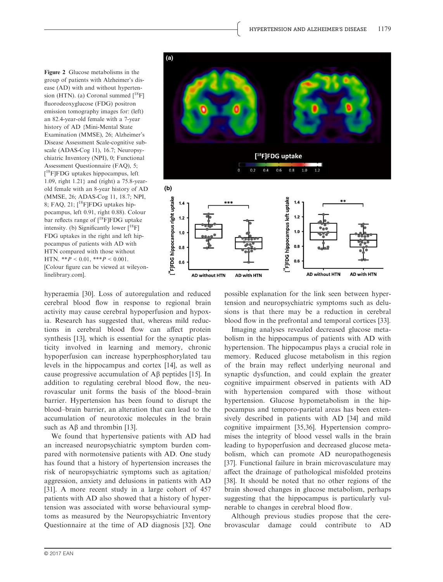Figure 2 Glucose metabolisms in the group of patients with Alzheimer's disease (AD) with and without hypertension (HTN). (a) Coronal summed  $I^{18}$ Fl fluorodeoxyglucose (FDG) positron emission tomography images for: (left) an 82.4-year-old female with a 7-year history of AD {Mini-Mental State Examination (MMSE), 26; Alzheimer's Disease Assessment Scale-cognitive subscale (ADAS-Cog 11), 16.7; Neuropsychiatric Inventory (NPI), 0; Functional Assessment Questionnaire (FAQ), 5; [<sup>18</sup>F]FDG uptakes hippocampus, left 1.09, right 1.21} and (right) a 75.8-yearold female with an 8-year history of AD (MMSE, 26; ADAS-Cog 11, 18.7; NPI, 8; FAQ, 21;  $[^{18}$ F]FDG uptakes hippocampus, left 0.91, right 0.88). Colour bar reflects range of [<sup>18</sup>F]FDG uptake intensity. (b) Significantly lower  $[{}^{18}F]$ FDG uptakes in the right and left hippocampus of patients with AD with HTN compared with those without HTN.  $**P < 0.01$ ,  $**P < 0.001$ . [Colour figure can be viewed at wileyonlinelibrary.com].

hyperaemia [30]. Loss of autoregulation and reduced cerebral blood flow in response to regional brain activity may cause cerebral hypoperfusion and hypoxia. Research has suggested that, whereas mild reductions in cerebral blood flow can affect protein synthesis [13], which is essential for the synaptic plasticity involved in learning and memory, chronic hypoperfusion can increase hyperphosphorylated tau levels in the hippocampus and cortex [14], as well as cause progressive accumulation of  $\overrightarrow{AB}$  peptides [15]. In addition to regulating cerebral blood flow, the neurovascular unit forms the basis of the blood–brain barrier. Hypertension has been found to disrupt the blood–brain barrier, an alteration that can lead to the accumulation of neurotoxic molecules in the brain such as  $\mathbf{A}\mathbf{\beta}$  and thrombin [13].

We found that hypertensive patients with AD had an increased neuropsychiatric symptom burden compared with normotensive patients with AD. One study has found that a history of hypertension increases the risk of neuropsychiatric symptoms such as agitation/ aggression, anxiety and delusions in patients with AD [31]. A more recent study in a large cohort of 457 patients with AD also showed that a history of hypertension was associated with worse behavioural symptoms as measured by the Neuropsychiatric Inventory Questionnaire at the time of AD diagnosis [32]. One



possible explanation for the link seen between hypertension and neuropsychiatric symptoms such as delusions is that there may be a reduction in cerebral blood flow in the prefrontal and temporal cortices [33].

Imaging analyses revealed decreased glucose metabolism in the hippocampus of patients with AD with hypertension. The hippocampus plays a crucial role in memory. Reduced glucose metabolism in this region of the brain may reflect underlying neuronal and synaptic dysfunction, and could explain the greater cognitive impairment observed in patients with AD with hypertension compared with those without hypertension. Glucose hypometabolism in the hippocampus and temporo-parietal areas has been extensively described in patients with AD [34] and mild cognitive impairment [35,36]. Hypertension compromises the integrity of blood vessel walls in the brain leading to hypoperfusion and decreased glucose metabolism, which can promote AD neuropathogenesis [37]. Functional failure in brain microvasculature may affect the drainage of pathological misfolded proteins [38]. It should be noted that no other regions of the brain showed changes in glucose metabolism, perhaps suggesting that the hippocampus is particularly vulnerable to changes in cerebral blood flow.

Although previous studies propose that the cerebrovascular damage could contribute to AD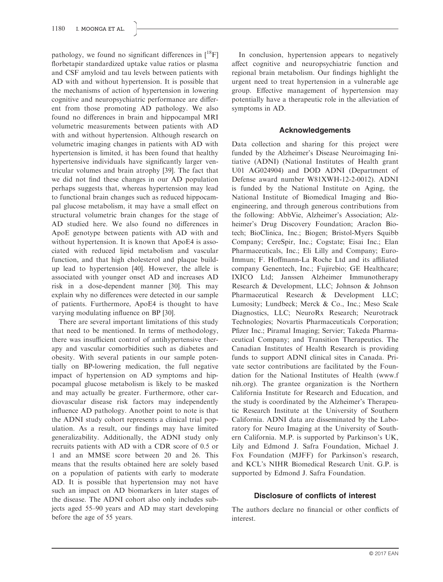pathology, we found no significant differences in  $\binom{18}{1}$ florbetapir standardized uptake value ratios or plasma and CSF amyloid and tau levels between patients with AD with and without hypertension. It is possible that the mechanisms of action of hypertension in lowering cognitive and neuropsychiatric performance are different from those promoting AD pathology. We also found no differences in brain and hippocampal MRI volumetric measurements between patients with AD with and without hypertension. Although research on volumetric imaging changes in patients with AD with hypertension is limited, it has been found that healthy hypertensive individuals have significantly larger ventricular volumes and brain atrophy [39]. The fact that we did not find these changes in our AD population perhaps suggests that, whereas hypertension may lead to functional brain changes such as reduced hippocampal glucose metabolism, it may have a small effect on structural volumetric brain changes for the stage of AD studied here. We also found no differences in ApoE genotype between patients with AD with and without hypertension. It is known that ApoE4 is associated with reduced lipid metabolism and vascular function, and that high cholesterol and plaque buildup lead to hypertension [40]. However, the allele is associated with younger onset AD and increases AD risk in a dose-dependent manner [30]. This may explain why no differences were detected in our sample of patients. Furthermore, ApoE4 is thought to have varying modulating influence on BP [30].

There are several important limitations of this study that need to be mentioned. In terms of methodology, there was insufficient control of antihypertensive therapy and vascular comorbidities such as diabetes and obesity. With several patients in our sample potentially on BP-lowering medication, the full negative impact of hypertension on AD symptoms and hippocampal glucose metabolism is likely to be masked and may actually be greater. Furthermore, other cardiovascular disease risk factors may independently influence AD pathology. Another point to note is that the ADNI study cohort represents a clinical trial population. As a result, our findings may have limited generalizability. Additionally, the ADNI study only recruits patients with AD with a CDR score of 0.5 or 1 and an MMSE score between 20 and 26. This means that the results obtained here are solely based on a population of patients with early to moderate AD. It is possible that hypertension may not have such an impact on AD biomarkers in later stages of the disease. The ADNI cohort also only includes subjects aged 55–90 years and AD may start developing before the age of 55 years.

In conclusion, hypertension appears to negatively affect cognitive and neuropsychiatric function and regional brain metabolism. Our findings highlight the urgent need to treat hypertension in a vulnerable age group. Effective management of hypertension may potentially have a therapeutic role in the alleviation of symptoms in AD.

# Acknowledgements

Data collection and sharing for this project were funded by the Alzheimer's Disease Neuroimaging Initiative (ADNI) (National Institutes of Health grant U01 AG024904) and DOD ADNI (Department of Defense award number W81XWH-12-2-0012). ADNI is funded by the National Institute on Aging, the National Institute of Biomedical Imaging and Bioengineering, and through generous contributions from the following: AbbVie, Alzheimer's Association; Alzheimer's Drug Discovery Foundation; Araclon Biotech; BioClinica, Inc.; Biogen; Bristol-Myers Squibb Company; CereSpir, Inc.; Cogstate; Eisai Inc.; Elan Pharmaceuticals, Inc.; Eli Lilly and Company; Euro-Immun; F. Hoffmann-La Roche Ltd and its affiliated company Genentech, Inc.; Fujirebio; GE Healthcare; IXICO Ltd; Janssen Alzheimer Immunotherapy Research & Development, LLC; Johnson & Johnson Pharmaceutical Research & Development LLC; Lumosity; Lundbeck; Merck & Co., Inc.; Meso Scale Diagnostics, LLC; NeuroRx Research; Neurotrack Technologies; Novartis Pharmaceuticals Corporation; Pfizer Inc.; Piramal Imaging; Servier; Takeda Pharmaceutical Company; and Transition Therapeutics. The Canadian Institutes of Health Research is providing funds to support ADNI clinical sites in Canada. Private sector contributions are facilitated by the Foundation for the National Institutes of Health ([www.f](http://www.fnih.org) [nih.org\)](http://www.fnih.org). The grantee organization is the Northern California Institute for Research and Education, and the study is coordinated by the Alzheimer's Therapeutic Research Institute at the University of Southern California. ADNI data are disseminated by the Laboratory for Neuro Imaging at the University of Southern California. M.P. is supported by Parkinson's UK, Lily and Edmond J. Safra Foundation, Michael J. Fox Foundation (MJFF) for Parkinson's research, and KCL's NIHR Biomedical Research Unit. G.P. is supported by Edmond J. Safra Foundation.

# Disclosure of conflicts of interest

The authors declare no financial or other conflicts of interest.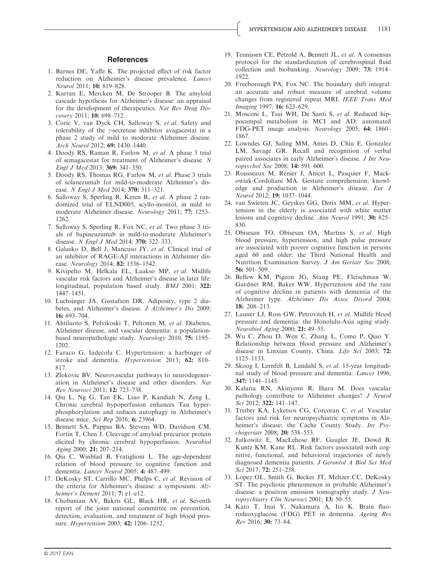#### **References**

- 1. Barnes DE, Yaffe K. The projected effect of risk factor reduction on Alzheimer's disease prevalence. Lancet Neurol 2011; 10: 819–828.
- 2. Karran E, Mercken M, De Strooper B. The amyloid cascade hypothesis for Alzheimer's disease: an appraisal for the development of therapeutics. Nat Rev Drug Discovery 2011; 10: 698-712.
- 3. Coric V, van Dyck CH, Salloway S, et al. Safety and tolerability of the  $\gamma$ -secretase inhibitor avagacestat in a phase 2 study of mild to moderate Alzheimer disease. Arch Neurol 2012; 69: 1430–1440.
- 4. Doody RS, Raman R, Farlow M, et al. A phase 3 trial of semagacestat for treatment of Alzheimer's disease. N Engl J Med 2013; 369: 341–350.
- 5. Doody RS, Thomas RG, Farlow M, et al. Phase 3 trials of solanezumab for mild-to-moderate Alzheimer's disease. N Engl J Med 2014; 370: 311-321.
- 6. Salloway S, Sperling R, Keren R, et al. A phase 2 randomized trial of ELND005, scyllo-inositol, in mild to moderate Alzheimer disease. Neurology 2011; 77: 1253– 1262.
- 7. Salloway S, Sperling R, Fox NC, et al. Two phase 3 trials of bapineuzumab in mild-to-moderate Alzheimer's disease. N Engl J Med 2014; 370: 322–333.
- 8. Galasko D, Bell J, Mancuso JY, et al. Clinical trial of an inhibitor of  $RAGE-A\beta$  interactions in Alzheimer disease. Neurology 2014; 82: 1536–1542.
- 9. Kivipelto M, Helkala EL, Laakso MP, et al. Midlife vascular risk factors and Alzheimer's disease in later life: longitudinal, population based study. BMJ 2001; 322: 1447–1451.
- 10. Luchsinger JA, Gustafson DR. Adiposity, type 2 diabetes, and Alzheimer's disease. J Alzheimer's Dis 2009; 16: 693–704.
- 11. Ahtiluoto S, Polvikoski T, Peltonen M, et al. Diabetes, Alzheimer disease, and vascular dementia: a populationbased neuropathologic study. Neurology 2010; 75: 1195– 1202.
- 12. Faraco G, Iadecola C. Hypertension: a harbinger of stroke and dementia. Hypertension 2013; 62: 810-817.
- 13. Zlokovic BV. Neurovascular pathways to neurodegeneration in Alzheimer's disease and other disorders. Nat Rev Neurosci 2011; 12: 723–738.
- 14. Qiu L, Ng G, Tan EK, Liao P, Kandiah N, Zeng L. Chronic cerebral hypoperfusion enhances Tau hyperphosphorylation and reduces autophagy in Alzheimer's disease mice. Sci Rep 2016; 6: 23964.
- 15. Bennett SA, Pappas BA, Stevens WD, Davidson CM, Fortin T, Chen J. Cleavage of amyloid precursor protein elicited by chronic cerebral hypoperfusion. Neurobiol Aging 2000; 21: 207–214.
- 16. Qiu C, Winblad B, Fratiglioni L. The age-dependent relation of blood pressure to cognitive function and dementia. Lancet Neurol 2005; 4: 487–499.
- 17. DeKosky ST, Carrillo MC, Phelps C, et al. Revision of the criteria for Alzheimer's disease: a symposium. Alzheimer's Dement 2011; 7: e1-e12.
- 18. Chobanian AV, Bakris GL, Black HR, et al. Seventh report of the joint national committee on prevention, detection, evaluation, and treatment of high blood pressure. *Hypertension* 2003; **42:** 1206–1252.
- 19. Teunissen CE, Petzold A, Bennett JL, et al. A consensus protocol for the standardization of cerebrospinal fluid collection and biobanking. Neurology 2009; 73: 1914– 1922.
- 20. Freeborough PA, Fox NC. The boundary shift integral: an accurate and robust measure of cerebral volume changes from registered repeat MRI. IEEE Trans Med Imaging 1997; 16: 623–629.
- 21. Mosconi L, Tsui WH, De Santi S, et al. Reduced hippocampal metabolism in MCI and AD: automated FDG-PET image analysis. Neurology 2005; 64: 1860– 1867.
- 22. Lowndes GJ, Saling MM, Ames D, Chiu E, Gonzalez LM, Savage GR. Recall and recognition of verbal paired associates in early Alzheimer's disease. J Int Neuropsychol Soc 2008; 14: 591–600.
- 23. Rousseaux M, Renier J, Anicet L, Pasquier F, Mackowiak-Cordoliani MA. Gesture comprehension, knowledge and production in Alzheimer's disease. Eur J Neurol 2012; 19: 1037–1044.
- 24. van Swieten JC, Geyskes GG, Derix MM, et al. Hypertension in the elderly is associated with white matter lesions and cognitive decline. Ann Neurol 1991; 30: 825– 830.
- 25. Obisesan TO, Obisesan OA, Martins S, et al. High blood pressure, hypertension, and high pulse pressure are associated with poorer cognitive function in persons aged 60 and older: the Third National Health and Nutrition Examination Survey. J Am Geriatr Soc 2008; 56: 501–509.
- 26. Bellew KM, Pigeon JG, Stang PE, Fleischman W, Gardner RM, Baker WW. Hypertension and the rate of cognitive decline in patients with dementia of the Alzheimer type. Alzheimer Dis Assoc Disord 2004; 18: 208–213.
- 27. Launer LJ, Ross GW, Petrovitch H, et al. Midlife blood pressure and dementia: the Honolulu-Asia aging study. Neurobiol Aging 2000; 21: 49–55.
- 28. Wu C, Zhou D, Wen C, Zhang L, Como P, Qiao Y. Relationship between blood pressure and Alzheimer's disease in Linxian County, China. Life Sci 2003; 72: 1125–1133.
- 29. Skoog I, Lernfelt B, Landahl S, et al. 15-year longitudinal study of blood pressure and dementia. Lancet 1996; 347: 1141–1145.
- 30. Kalaria RN, Akinyemi R, Ihara M. Does vascular pathology contribute to Alzheimer changes? J Neurol Sci 2012; 322: 141–147.
- 31. Treiber KA, Lyketsos CG, Corcoran C, et al. Vascular factors and risk for neuropsychiatric symptoms in Alzheimer's disease: the Cache County Study. Int Psychogeriatr 2008; 20: 538–553.
- 32. Jutkowitz E, MacLehose RF, Gaugler JE, Dowd B, Kuntz KM, Kane RL. Risk factors associated with cognitive, functional, and behavioral trajectories of newly diagnosed dementia patients. J Gerontol A Biol Sci Med Sci 2017; **72:** 251-258.
- 33. Lopez OL, Smith G, Becker JT, Meltzer CC, DeKosky ST. The psychotic phenomenon in probable Alzheimer's disease: a positron emission tomography study. J Neuropsychiatry Clin Neurosci 2001; 13: 50–55.
- 34. Kato T, Inui Y, Nakamura A, Ito K. Brain fluorodeoxyglucose (FDG) PET in dementia. Ageing Res Rev 2016; 30: 73–84.